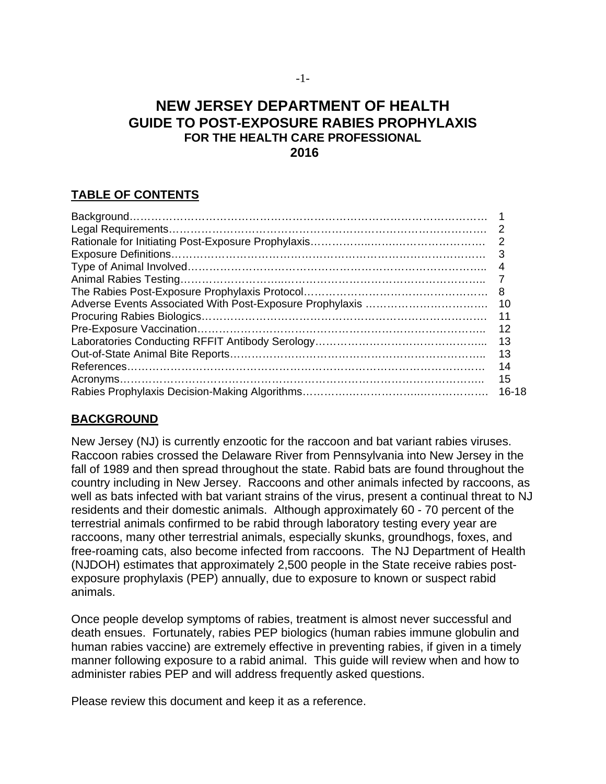## **NEW JERSEY DEPARTMENT OF HEALTH GUIDE TO POST-EXPOSURE RABIES PROPHYLAXIS FOR THE HEALTH CARE PROFESSIONAL 2016**

## **TABLE OF CONTENTS**

| 8         |
|-----------|
| -10       |
| 11        |
| 12        |
| 13        |
| -13       |
| 14        |
| 15        |
| $16 - 18$ |

### **BACKGROUND**

New Jersey (NJ) is currently enzootic for the raccoon and bat variant rabies viruses. Raccoon rabies crossed the Delaware River from Pennsylvania into New Jersey in the fall of 1989 and then spread throughout the state. Rabid bats are found throughout the country including in New Jersey. Raccoons and other animals infected by raccoons, as well as bats infected with bat variant strains of the virus, present a continual threat to NJ residents and their domestic animals. Although approximately 60 - 70 percent of the terrestrial animals confirmed to be rabid through laboratory testing every year are raccoons, many other terrestrial animals, especially skunks, groundhogs, foxes, and free-roaming cats, also become infected from raccoons. The NJ Department of Health (NJDOH) estimates that approximately 2,500 people in the State receive rabies postexposure prophylaxis (PEP) annually, due to exposure to known or suspect rabid animals.

Once people develop symptoms of rabies, treatment is almost never successful and death ensues. Fortunately, rabies PEP biologics (human rabies immune globulin and human rabies vaccine) are extremely effective in preventing rabies, if given in a timely manner following exposure to a rabid animal. This guide will review when and how to administer rabies PEP and will address frequently asked questions.

Please review this document and keep it as a reference.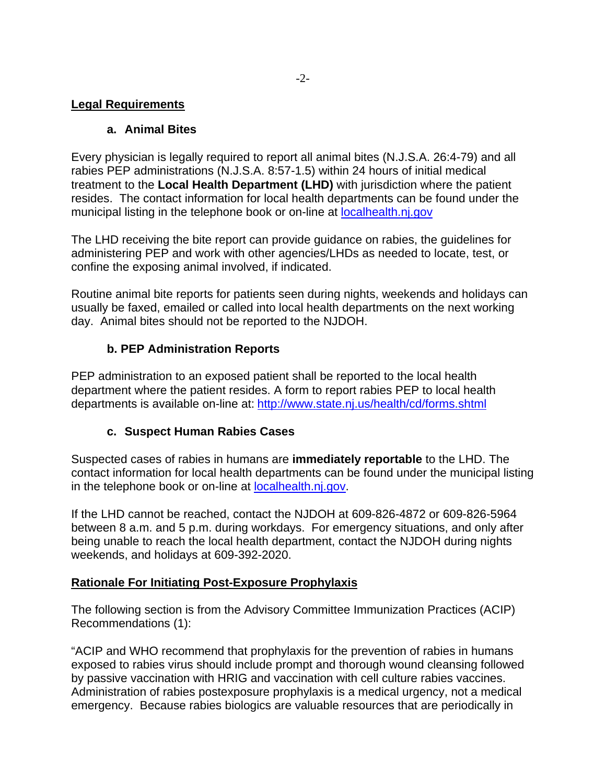## **Legal Requirements**

## **a. Animal Bites**

Every physician is legally required to report all animal bites (N.J.S.A. 26:4-79) and all rabies PEP administrations (N.J.S.A. 8:57-1.5) within 24 hours of initial medical treatment to the **Local Health Department (LHD)** with jurisdiction where the patient resides. The contact information for local health departments can be found under the municipal listing in the telephone book or on-line at localhealth.nj.gov

The LHD receiving the bite report can provide guidance on rabies, the guidelines for administering PEP and work with other agencies/LHDs as needed to locate, test, or confine the exposing animal involved, if indicated.

Routine animal bite reports for patients seen during nights, weekends and holidays can usually be faxed, emailed or called into local health departments on the next working day. Animal bites should not be reported to the NJDOH.

## **b. PEP Administration Reports**

PEP administration to an exposed patient shall be reported to the local health department where the patient resides. A form to report rabies PEP to local health departments is available on-line at: http://www.state.nj.us/health/cd/forms.shtml

## **c. Suspect Human Rabies Cases**

Suspected cases of rabies in humans are **immediately reportable** to the LHD. The contact information for local health departments can be found under the municipal listing in the telephone book or on-line at localhealth.nj.gov.

If the LHD cannot be reached, contact the NJDOH at 609-826-4872 or 609-826-5964 between 8 a.m. and 5 p.m. during workdays. For emergency situations, and only after being unable to reach the local health department, contact the NJDOH during nights weekends, and holidays at 609-392-2020.

### **Rationale For Initiating Post-Exposure Prophylaxis**

The following section is from the Advisory Committee Immunization Practices (ACIP) Recommendations (1):

"ACIP and WHO recommend that prophylaxis for the prevention of rabies in humans exposed to rabies virus should include prompt and thorough wound cleansing followed by passive vaccination with HRIG and vaccination with cell culture rabies vaccines. Administration of rabies postexposure prophylaxis is a medical urgency, not a medical emergency. Because rabies biologics are valuable resources that are periodically in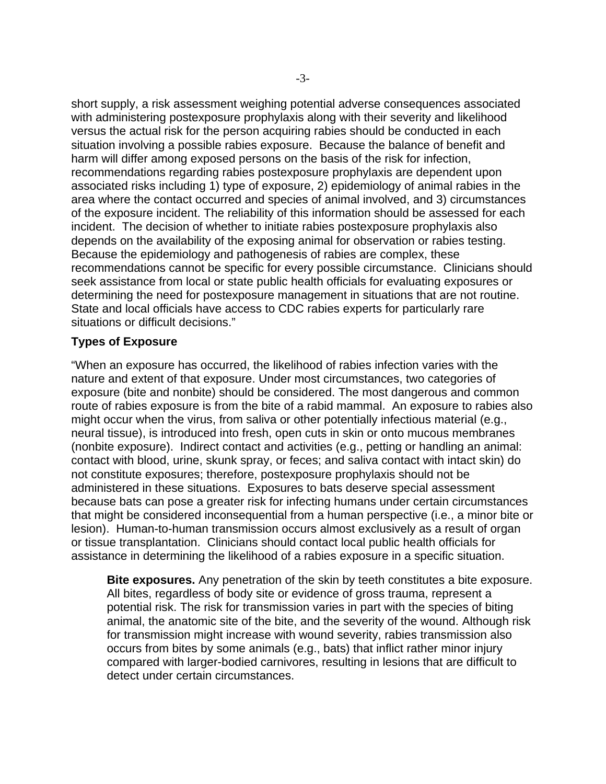short supply, a risk assessment weighing potential adverse consequences associated with administering postexposure prophylaxis along with their severity and likelihood versus the actual risk for the person acquiring rabies should be conducted in each situation involving a possible rabies exposure. Because the balance of benefit and harm will differ among exposed persons on the basis of the risk for infection, recommendations regarding rabies postexposure prophylaxis are dependent upon associated risks including 1) type of exposure, 2) epidemiology of animal rabies in the area where the contact occurred and species of animal involved, and 3) circumstances of the exposure incident. The reliability of this information should be assessed for each incident. The decision of whether to initiate rabies postexposure prophylaxis also depends on the availability of the exposing animal for observation or rabies testing. Because the epidemiology and pathogenesis of rabies are complex, these recommendations cannot be specific for every possible circumstance. Clinicians should seek assistance from local or state public health officials for evaluating exposures or determining the need for postexposure management in situations that are not routine. State and local officials have access to CDC rabies experts for particularly rare situations or difficult decisions."

### **Types of Exposure**

"When an exposure has occurred, the likelihood of rabies infection varies with the nature and extent of that exposure. Under most circumstances, two categories of exposure (bite and nonbite) should be considered. The most dangerous and common route of rabies exposure is from the bite of a rabid mammal. An exposure to rabies also might occur when the virus, from saliva or other potentially infectious material (e.g., neural tissue), is introduced into fresh, open cuts in skin or onto mucous membranes (nonbite exposure). Indirect contact and activities (e.g., petting or handling an animal: contact with blood, urine, skunk spray, or feces; and saliva contact with intact skin) do not constitute exposures; therefore, postexposure prophylaxis should not be administered in these situations. Exposures to bats deserve special assessment because bats can pose a greater risk for infecting humans under certain circumstances that might be considered inconsequential from a human perspective (i.e., a minor bite or lesion). Human-to-human transmission occurs almost exclusively as a result of organ or tissue transplantation. Clinicians should contact local public health officials for assistance in determining the likelihood of a rabies exposure in a specific situation.

**Bite exposures.** Any penetration of the skin by teeth constitutes a bite exposure. All bites, regardless of body site or evidence of gross trauma, represent a potential risk. The risk for transmission varies in part with the species of biting animal, the anatomic site of the bite, and the severity of the wound. Although risk for transmission might increase with wound severity, rabies transmission also occurs from bites by some animals (e.g., bats) that inflict rather minor injury compared with larger-bodied carnivores, resulting in lesions that are difficult to detect under certain circumstances.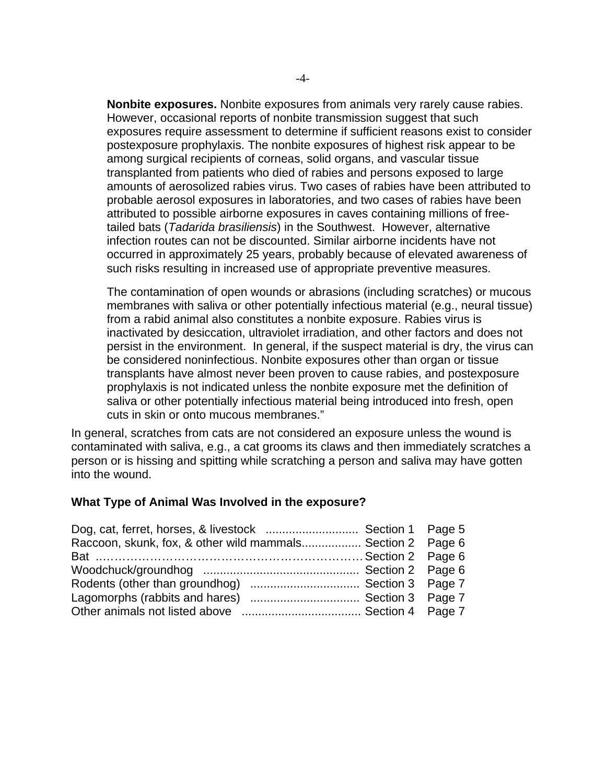**Nonbite exposures.** Nonbite exposures from animals very rarely cause rabies. However, occasional reports of nonbite transmission suggest that such exposures require assessment to determine if sufficient reasons exist to consider postexposure prophylaxis. The nonbite exposures of highest risk appear to be among surgical recipients of corneas, solid organs, and vascular tissue transplanted from patients who died of rabies and persons exposed to large amounts of aerosolized rabies virus. Two cases of rabies have been attributed to probable aerosol exposures in laboratories, and two cases of rabies have been attributed to possible airborne exposures in caves containing millions of freetailed bats (*Tadarida brasiliensis*) in the Southwest. However, alternative infection routes can not be discounted. Similar airborne incidents have not occurred in approximately 25 years, probably because of elevated awareness of such risks resulting in increased use of appropriate preventive measures.

The contamination of open wounds or abrasions (including scratches) or mucous membranes with saliva or other potentially infectious material (e.g., neural tissue) from a rabid animal also constitutes a nonbite exposure. Rabies virus is inactivated by desiccation, ultraviolet irradiation, and other factors and does not persist in the environment. In general, if the suspect material is dry, the virus can be considered noninfectious. Nonbite exposures other than organ or tissue transplants have almost never been proven to cause rabies, and postexposure prophylaxis is not indicated unless the nonbite exposure met the definition of saliva or other potentially infectious material being introduced into fresh, open cuts in skin or onto mucous membranes."

In general, scratches from cats are not considered an exposure unless the wound is contaminated with saliva, e.g., a cat grooms its claws and then immediately scratches a person or is hissing and spitting while scratching a person and saliva may have gotten into the wound.

#### **What Type of Animal Was Involved in the exposure?**

| Dog, cat, ferret, horses, & livestock  Section 1 Page 5    |  |
|------------------------------------------------------------|--|
| Raccoon, skunk, fox, & other wild mammals Section 2 Page 6 |  |
|                                                            |  |
|                                                            |  |
|                                                            |  |
|                                                            |  |
|                                                            |  |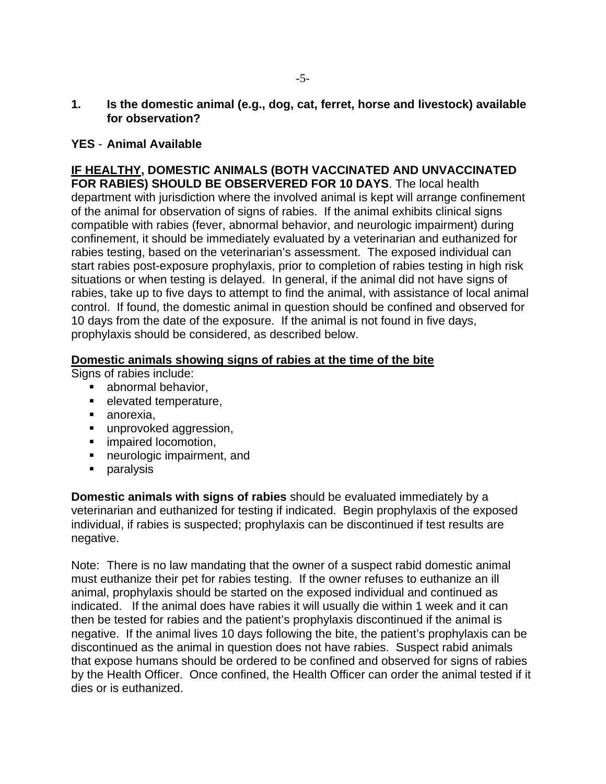**1. Is the domestic animal (e.g., dog, cat, ferret, horse and livestock) available for observation?**

## **YES** - **Animal Available**

#### **IF HEALTHY, DOMESTIC ANIMALS (BOTH VACCINATED AND UNVACCINATED FOR RABIES) SHOULD BE OBSERVERED FOR 10 DAYS**. The local health

department with jurisdiction where the involved animal is kept will arrange confinement of the animal for observation of signs of rabies. If the animal exhibits clinical signs compatible with rabies (fever, abnormal behavior, and neurologic impairment) during confinement, it should be immediately evaluated by a veterinarian and euthanized for rabies testing, based on the veterinarian's assessment. The exposed individual can start rabies post-exposure prophylaxis, prior to completion of rabies testing in high risk situations or when testing is delayed. In general, if the animal did not have signs of rabies, take up to five days to attempt to find the animal, with assistance of local animal control. If found, the domestic animal in question should be confined and observed for 10 days from the date of the exposure. If the animal is not found in five days, prophylaxis should be considered, as described below.

#### **Domestic animals showing signs of rabies at the time of the bite**

Signs of rabies include:

- **abnormal behavior,**
- **elevated temperature,**
- **anorexia.**
- unprovoked aggression,
- **u** impaired locomotion,
- **neurologic impairment, and**
- **paralysis**

**Domestic animals with signs of rabies** should be evaluated immediately by a veterinarian and euthanized for testing if indicated. Begin prophylaxis of the exposed individual, if rabies is suspected; prophylaxis can be discontinued if test results are negative.

Note: There is no law mandating that the owner of a suspect rabid domestic animal must euthanize their pet for rabies testing. If the owner refuses to euthanize an ill animal, prophylaxis should be started on the exposed individual and continued as indicated. If the animal does have rabies it will usually die within 1 week and it can then be tested for rabies and the patient's prophylaxis discontinued if the animal is negative. If the animal lives 10 days following the bite, the patient's prophylaxis can be discontinued as the animal in question does not have rabies. Suspect rabid animals that expose humans should be ordered to be confined and observed for signs of rabies by the Health Officer. Once confined, the Health Officer can order the animal tested if it dies or is euthanized.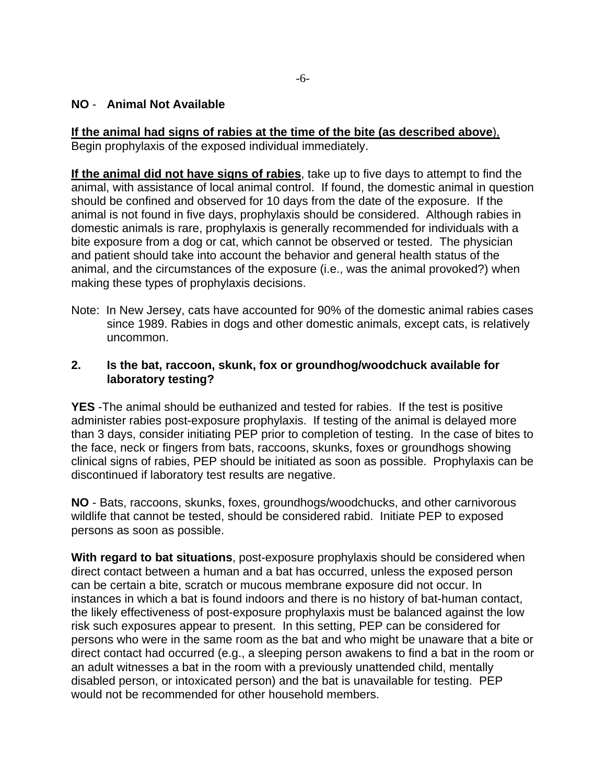#### **NO** - **Animal Not Available**

**If the animal had signs of rabies at the time of the bite (as described above**), Begin prophylaxis of the exposed individual immediately.

**If the animal did not have signs of rabies**, take up to five days to attempt to find the animal, with assistance of local animal control. If found, the domestic animal in question should be confined and observed for 10 days from the date of the exposure. If the animal is not found in five days, prophylaxis should be considered. Although rabies in domestic animals is rare, prophylaxis is generally recommended for individuals with a bite exposure from a dog or cat, which cannot be observed or tested. The physician and patient should take into account the behavior and general health status of the animal, and the circumstances of the exposure (i.e., was the animal provoked?) when making these types of prophylaxis decisions.

Note: In New Jersey, cats have accounted for 90% of the domestic animal rabies cases since 1989. Rabies in dogs and other domestic animals, except cats, is relatively uncommon.

#### **2. Is the bat, raccoon, skunk, fox or groundhog/woodchuck available for laboratory testing?**

**YES** -The animal should be euthanized and tested for rabies. If the test is positive administer rabies post-exposure prophylaxis. If testing of the animal is delayed more than 3 days, consider initiating PEP prior to completion of testing. In the case of bites to the face, neck or fingers from bats, raccoons, skunks, foxes or groundhogs showing clinical signs of rabies, PEP should be initiated as soon as possible. Prophylaxis can be discontinued if laboratory test results are negative.

**NO** - Bats, raccoons, skunks, foxes, groundhogs/woodchucks, and other carnivorous wildlife that cannot be tested, should be considered rabid. Initiate PEP to exposed persons as soon as possible.

**With regard to bat situations**, post-exposure prophylaxis should be considered when direct contact between a human and a bat has occurred, unless the exposed person can be certain a bite, scratch or mucous membrane exposure did not occur. In instances in which a bat is found indoors and there is no history of bat-human contact, the likely effectiveness of post-exposure prophylaxis must be balanced against the low risk such exposures appear to present. In this setting, PEP can be considered for persons who were in the same room as the bat and who might be unaware that a bite or direct contact had occurred (e.g., a sleeping person awakens to find a bat in the room or an adult witnesses a bat in the room with a previously unattended child, mentally disabled person, or intoxicated person) and the bat is unavailable for testing. PEP would not be recommended for other household members.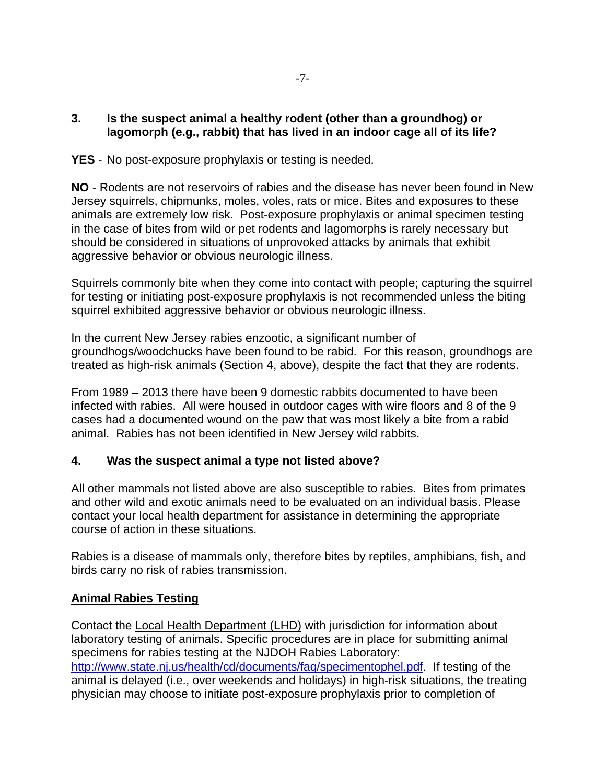**3. Is the suspect animal a healthy rodent (other than a groundhog) or lagomorph (e.g., rabbit) that has lived in an indoor cage all of its life?**

**YES** - No post-exposure prophylaxis or testing is needed.

**NO** - Rodents are not reservoirs of rabies and the disease has never been found in New Jersey squirrels, chipmunks, moles, voles, rats or mice. Bites and exposures to these animals are extremely low risk. Post-exposure prophylaxis or animal specimen testing in the case of bites from wild or pet rodents and lagomorphs is rarely necessary but should be considered in situations of unprovoked attacks by animals that exhibit aggressive behavior or obvious neurologic illness.

Squirrels commonly bite when they come into contact with people; capturing the squirrel for testing or initiating post-exposure prophylaxis is not recommended unless the biting squirrel exhibited aggressive behavior or obvious neurologic illness.

In the current New Jersey rabies enzootic, a significant number of groundhogs/woodchucks have been found to be rabid. For this reason, groundhogs are treated as high-risk animals (Section 4, above), despite the fact that they are rodents.

From 1989 – 2013 there have been 9 domestic rabbits documented to have been infected with rabies. All were housed in outdoor cages with wire floors and 8 of the 9 cases had a documented wound on the paw that was most likely a bite from a rabid animal. Rabies has not been identified in New Jersey wild rabbits.

## **4. Was the suspect animal a type not listed above?**

All other mammals not listed above are also susceptible to rabies. Bites from primates and other wild and exotic animals need to be evaluated on an individual basis. Please contact your local health department for assistance in determining the appropriate course of action in these situations.

Rabies is a disease of mammals only, therefore bites by reptiles, amphibians, fish, and birds carry no risk of rabies transmission.

## **Animal Rabies Testing**

Contact the Local Health Department (LHD) with jurisdiction for information about laboratory testing of animals. Specific procedures are in place for submitting animal specimens for rabies testing at the NJDOH Rabies Laboratory: http://www.state.nj.us/health/cd/documents/faq/specimentophel.pdf. If testing of the animal is delayed (i.e., over weekends and holidays) in high-risk situations, the treating physician may choose to initiate post-exposure prophylaxis prior to completion of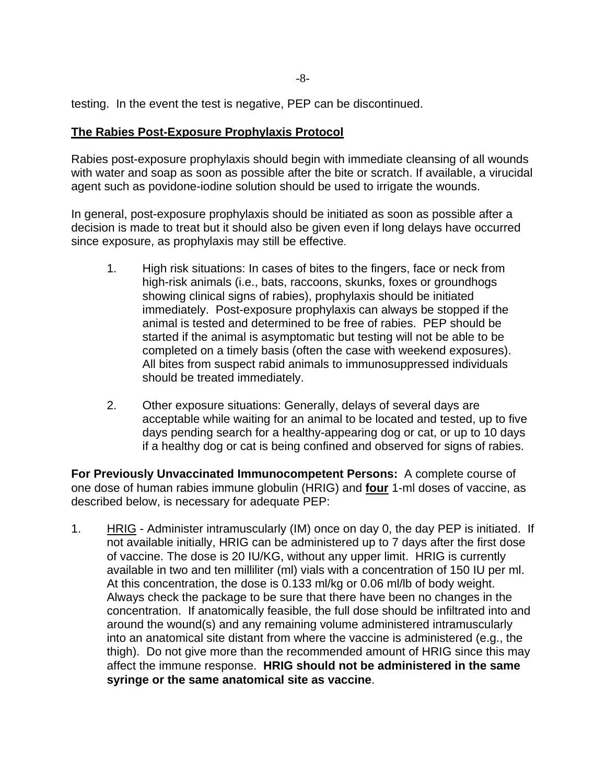testing. In the event the test is negative, PEP can be discontinued.

#### **The Rabies Post-Exposure Prophylaxis Protocol**

Rabies post-exposure prophylaxis should begin with immediate cleansing of all wounds with water and soap as soon as possible after the bite or scratch. If available, a virucidal agent such as povidone-iodine solution should be used to irrigate the wounds.

In general, post-exposure prophylaxis should be initiated as soon as possible after a decision is made to treat but it should also be given even if long delays have occurred since exposure, as prophylaxis may still be effective.

- 1. High risk situations: In cases of bites to the fingers, face or neck from high-risk animals (i.e., bats, raccoons, skunks, foxes or groundhogs showing clinical signs of rabies), prophylaxis should be initiated immediately. Post-exposure prophylaxis can always be stopped if the animal is tested and determined to be free of rabies. PEP should be started if the animal is asymptomatic but testing will not be able to be completed on a timely basis (often the case with weekend exposures). All bites from suspect rabid animals to immunosuppressed individuals should be treated immediately.
- 2. Other exposure situations: Generally, delays of several days are acceptable while waiting for an animal to be located and tested, up to five days pending search for a healthy-appearing dog or cat, or up to 10 days if a healthy dog or cat is being confined and observed for signs of rabies.

**For Previously Unvaccinated Immunocompetent Persons:** A complete course of one dose of human rabies immune globulin (HRIG) and **four** 1-ml doses of vaccine, as described below, is necessary for adequate PEP:

1. HRIG - Administer intramuscularly (IM) once on day 0, the day PEP is initiated. If not available initially, HRIG can be administered up to 7 days after the first dose of vaccine. The dose is 20 IU/KG, without any upper limit. HRIG is currently available in two and ten milliliter (ml) vials with a concentration of 150 IU per ml. At this concentration, the dose is 0.133 ml/kg or 0.06 ml/lb of body weight. Always check the package to be sure that there have been no changes in the concentration. If anatomically feasible, the full dose should be infiltrated into and around the wound(s) and any remaining volume administered intramuscularly into an anatomical site distant from where the vaccine is administered (e.g., the thigh). Do not give more than the recommended amount of HRIG since this may affect the immune response. **HRIG should not be administered in the same syringe or the same anatomical site as vaccine**.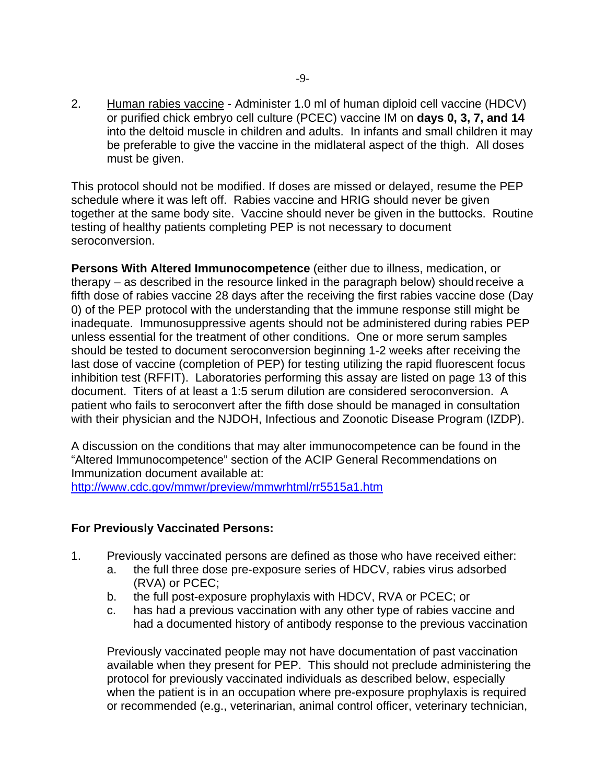2. Human rabies vaccine - Administer 1.0 ml of human diploid cell vaccine (HDCV) or purified chick embryo cell culture (PCEC) vaccine IM on **days 0, 3, 7, and 14** into the deltoid muscle in children and adults. In infants and small children it may be preferable to give the vaccine in the midlateral aspect of the thigh. All doses must be given.

This protocol should not be modified. If doses are missed or delayed, resume the PEP schedule where it was left off. Rabies vaccine and HRIG should never be given together at the same body site. Vaccine should never be given in the buttocks. Routine testing of healthy patients completing PEP is not necessary to document seroconversion.

**Persons With Altered Immunocompetence** (either due to illness, medication, or therapy – as described in the resource linked in the paragraph below) should receive a fifth dose of rabies vaccine 28 days after the receiving the first rabies vaccine dose (Day 0) of the PEP protocol with the understanding that the immune response still might be inadequate. Immunosuppressive agents should not be administered during rabies PEP unless essential for the treatment of other conditions. One or more serum samples should be tested to document seroconversion beginning 1-2 weeks after receiving the last dose of vaccine (completion of PEP) for testing utilizing the rapid fluorescent focus inhibition test (RFFIT). Laboratories performing this assay are listed on page 13 of this document. Titers of at least a 1:5 serum dilution are considered seroconversion. A patient who fails to seroconvert after the fifth dose should be managed in consultation with their physician and the NJDOH, Infectious and Zoonotic Disease Program (IZDP).

A discussion on the conditions that may alter immunocompetence can be found in the "Altered Immunocompetence" section of the ACIP General Recommendations on Immunization document available at:

http://www.cdc.gov/mmwr/preview/mmwrhtml/rr5515a1.htm

### **For Previously Vaccinated Persons:**

- 1. Previously vaccinated persons are defined as those who have received either:
	- a. the full three dose pre-exposure series of HDCV, rabies virus adsorbed (RVA) or PCEC;
	- b. the full post-exposure prophylaxis with HDCV, RVA or PCEC; or
	- c. has had a previous vaccination with any other type of rabies vaccine and had a documented history of antibody response to the previous vaccination

 Previously vaccinated people may not have documentation of past vaccination available when they present for PEP. This should not preclude administering the protocol for previously vaccinated individuals as described below, especially when the patient is in an occupation where pre-exposure prophylaxis is required or recommended (e.g., veterinarian, animal control officer, veterinary technician,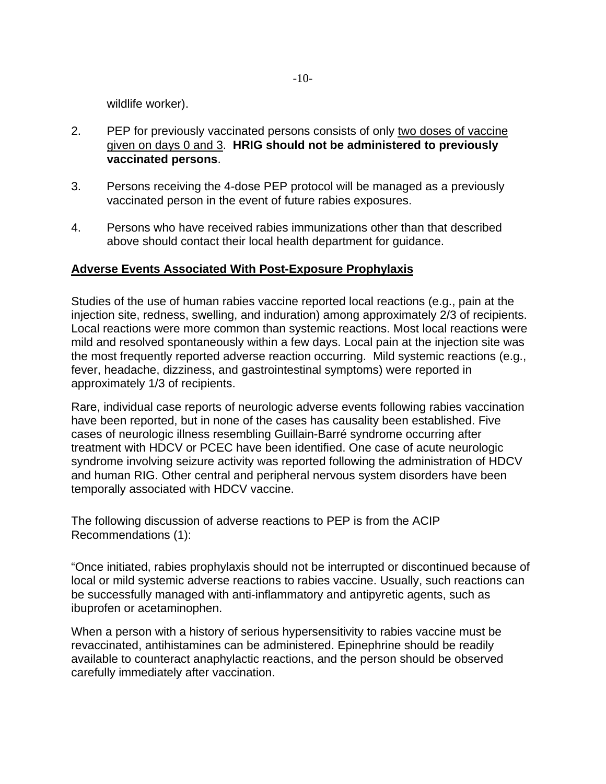wildlife worker).

- 2. PEP for previously vaccinated persons consists of only two doses of vaccine given on days 0 and 3. **HRIG should not be administered to previously vaccinated persons**.
- 3. Persons receiving the 4-dose PEP protocol will be managed as a previously vaccinated person in the event of future rabies exposures.
- 4. Persons who have received rabies immunizations other than that described above should contact their local health department for guidance.

## **Adverse Events Associated With Post-Exposure Prophylaxis**

Studies of the use of human rabies vaccine reported local reactions (e.g., pain at the injection site, redness, swelling, and induration) among approximately 2/3 of recipients. Local reactions were more common than systemic reactions. Most local reactions were mild and resolved spontaneously within a few days. Local pain at the injection site was the most frequently reported adverse reaction occurring. Mild systemic reactions (e.g., fever, headache, dizziness, and gastrointestinal symptoms) were reported in approximately 1/3 of recipients.

Rare, individual case reports of neurologic adverse events following rabies vaccination have been reported, but in none of the cases has causality been established. Five cases of neurologic illness resembling Guillain-Barré syndrome occurring after treatment with HDCV or PCEC have been identified. One case of acute neurologic syndrome involving seizure activity was reported following the administration of HDCV and human RIG. Other central and peripheral nervous system disorders have been temporally associated with HDCV vaccine.

The following discussion of adverse reactions to PEP is from the ACIP Recommendations (1):

"Once initiated, rabies prophylaxis should not be interrupted or discontinued because of local or mild systemic adverse reactions to rabies vaccine. Usually, such reactions can be successfully managed with anti-inflammatory and antipyretic agents, such as ibuprofen or acetaminophen.

When a person with a history of serious hypersensitivity to rabies vaccine must be revaccinated, antihistamines can be administered. Epinephrine should be readily available to counteract anaphylactic reactions, and the person should be observed carefully immediately after vaccination.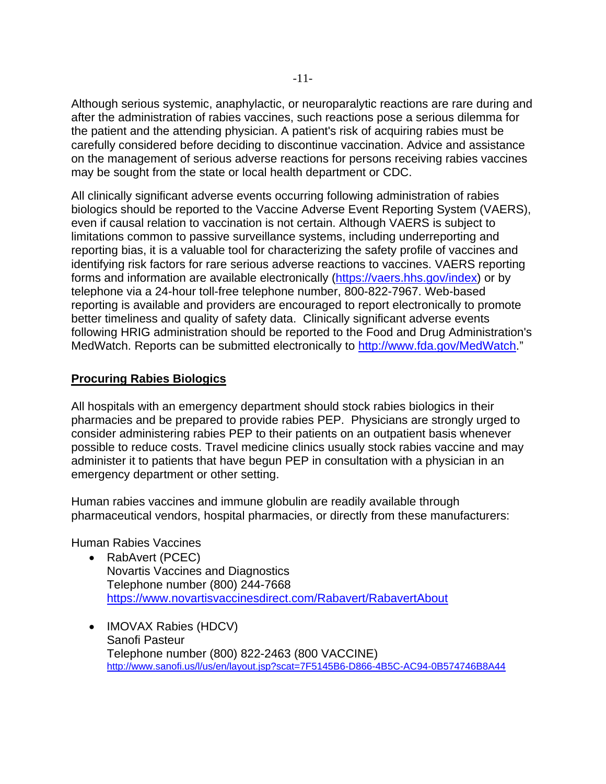Although serious systemic, anaphylactic, or neuroparalytic reactions are rare during and after the administration of rabies vaccines, such reactions pose a serious dilemma for the patient and the attending physician. A patient's risk of acquiring rabies must be carefully considered before deciding to discontinue vaccination. Advice and assistance on the management of serious adverse reactions for persons receiving rabies vaccines may be sought from the state or local health department or CDC.

All clinically significant adverse events occurring following administration of rabies biologics should be reported to the Vaccine Adverse Event Reporting System (VAERS), even if causal relation to vaccination is not certain. Although VAERS is subject to limitations common to passive surveillance systems, including underreporting and reporting bias, it is a valuable tool for characterizing the safety profile of vaccines and identifying risk factors for rare serious adverse reactions to vaccines. VAERS reporting forms and information are available electronically (https://vaers.hhs.gov/index) or by telephone via a 24-hour toll-free telephone number, 800-822-7967. Web-based reporting is available and providers are encouraged to report electronically to promote better timeliness and quality of safety data. Clinically significant adverse events following HRIG administration should be reported to the Food and Drug Administration's MedWatch. Reports can be submitted electronically to http://www.fda.gov/MedWatch."

### **Procuring Rabies Biologics**

All hospitals with an emergency department should stock rabies biologics in their pharmacies and be prepared to provide rabies PEP. Physicians are strongly urged to consider administering rabies PEP to their patients on an outpatient basis whenever possible to reduce costs. Travel medicine clinics usually stock rabies vaccine and may administer it to patients that have begun PEP in consultation with a physician in an emergency department or other setting.

Human rabies vaccines and immune globulin are readily available through pharmaceutical vendors, hospital pharmacies, or directly from these manufacturers:

Human Rabies Vaccines

- RabAvert (PCEC) Novartis Vaccines and Diagnostics Telephone number (800) 244-7668 https://www.novartisvaccinesdirect.com/Rabavert/RabavertAbout
- IMOVAX Rabies (HDCV) Sanofi Pasteur Telephone number (800) 822-2463 (800 VACCINE) http://www.sanofi.us/l/us/en/layout.jsp?scat=7F5145B6-D866-4B5C-AC94-0B574746B8A44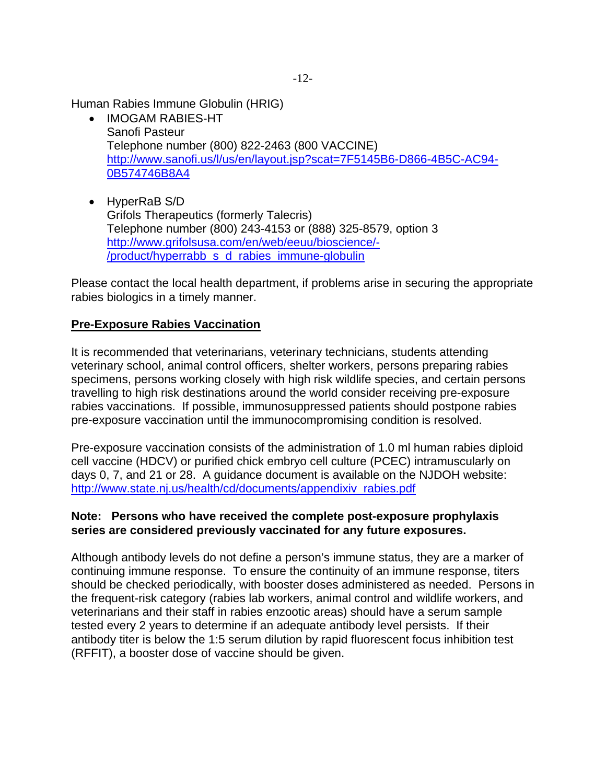Human Rabies Immune Globulin (HRIG)

- IMOGAM RABIES-HT Sanofi Pasteur Telephone number (800) 822-2463 (800 VACCINE) http://www.sanofi.us/l/us/en/layout.jsp?scat=7F5145B6-D866-4B5C-AC94- 0B574746B8A4
- HyperRaB S/D Grifols Therapeutics (formerly Talecris) Telephone number (800) 243-4153 or (888) 325-8579, option 3 http://www.grifolsusa.com/en/web/eeuu/bioscience/- /product/hyperrabb\_s\_d\_rabies\_immune-globulin

Please contact the local health department, if problems arise in securing the appropriate rabies biologics in a timely manner.

#### **Pre-Exposure Rabies Vaccination**

It is recommended that veterinarians, veterinary technicians, students attending veterinary school, animal control officers, shelter workers, persons preparing rabies specimens, persons working closely with high risk wildlife species, and certain persons travelling to high risk destinations around the world consider receiving pre-exposure rabies vaccinations. If possible, immunosuppressed patients should postpone rabies pre-exposure vaccination until the immunocompromising condition is resolved.

Pre-exposure vaccination consists of the administration of 1.0 ml human rabies diploid cell vaccine (HDCV) or purified chick embryo cell culture (PCEC) intramuscularly on days 0, 7, and 21 or 28. A guidance document is available on the NJDOH website: http://www.state.nj.us/health/cd/documents/appendixiv\_rabies.pdf

#### **Note: Persons who have received the complete post-exposure prophylaxis series are considered previously vaccinated for any future exposures.**

Although antibody levels do not define a person's immune status, they are a marker of continuing immune response. To ensure the continuity of an immune response, titers should be checked periodically, with booster doses administered as needed. Persons in the frequent-risk category (rabies lab workers, animal control and wildlife workers, and veterinarians and their staff in rabies enzootic areas) should have a serum sample tested every 2 years to determine if an adequate antibody level persists. If their antibody titer is below the 1:5 serum dilution by rapid fluorescent focus inhibition test (RFFIT), a booster dose of vaccine should be given.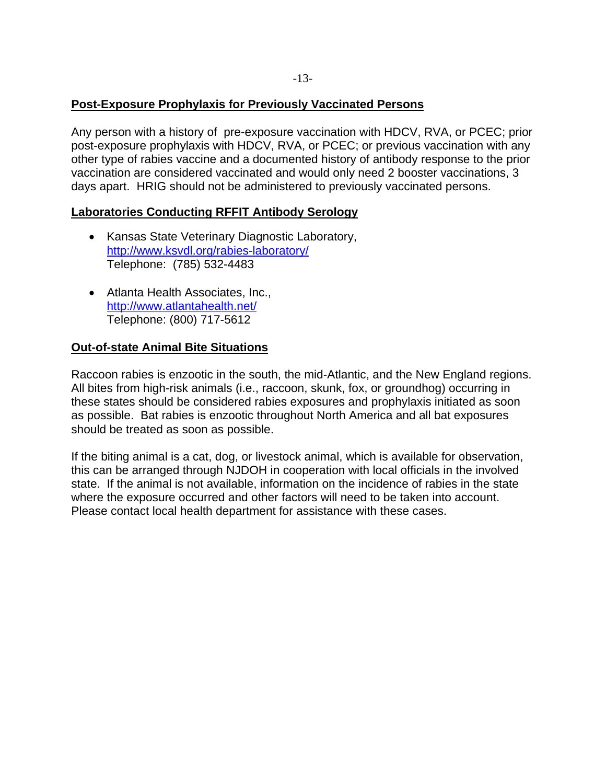### **Post-Exposure Prophylaxis for Previously Vaccinated Persons**

Any person with a history of pre-exposure vaccination with HDCV, RVA, or PCEC; prior post-exposure prophylaxis with HDCV, RVA, or PCEC; or previous vaccination with any other type of rabies vaccine and a documented history of antibody response to the prior vaccination are considered vaccinated and would only need 2 booster vaccinations, 3 days apart. HRIG should not be administered to previously vaccinated persons.

## **Laboratories Conducting RFFIT Antibody Serology**

- Kansas State Veterinary Diagnostic Laboratory, http://www.ksvdl.org/rabies-laboratory/ Telephone: (785) 532-4483
- Atlanta Health Associates, Inc., http://www.atlantahealth.net/ Telephone: (800) 717-5612

## **Out-of-state Animal Bite Situations**

Raccoon rabies is enzootic in the south, the mid-Atlantic, and the New England regions. All bites from high-risk animals (i.e., raccoon, skunk, fox, or groundhog) occurring in these states should be considered rabies exposures and prophylaxis initiated as soon as possible. Bat rabies is enzootic throughout North America and all bat exposures should be treated as soon as possible.

If the biting animal is a cat, dog, or livestock animal, which is available for observation, this can be arranged through NJDOH in cooperation with local officials in the involved state. If the animal is not available, information on the incidence of rabies in the state where the exposure occurred and other factors will need to be taken into account. Please contact local health department for assistance with these cases.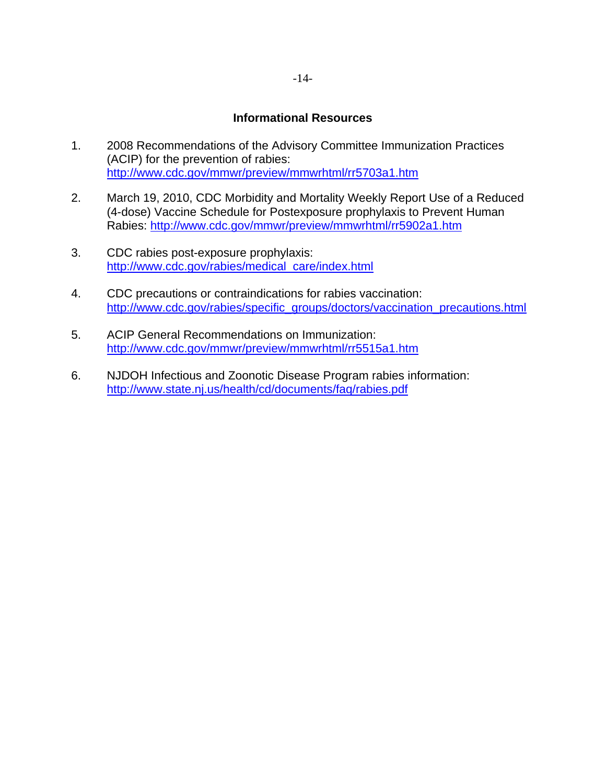#### **Informational Resources**

- 1. 2008 Recommendations of the Advisory Committee Immunization Practices (ACIP) for the prevention of rabies: http://www.cdc.gov/mmwr/preview/mmwrhtml/rr5703a1.htm
- 2. March 19, 2010, CDC Morbidity and Mortality Weekly Report Use of a Reduced (4-dose) Vaccine Schedule for Postexposure prophylaxis to Prevent Human Rabies: http://www.cdc.gov/mmwr/preview/mmwrhtml/rr5902a1.htm
- 3. CDC rabies post-exposure prophylaxis: http://www.cdc.gov/rabies/medical\_care/index.html
- 4. CDC precautions or contraindications for rabies vaccination: http://www.cdc.gov/rabies/specific\_groups/doctors/vaccination\_precautions.html
- 5. ACIP General Recommendations on Immunization: http://www.cdc.gov/mmwr/preview/mmwrhtml/rr5515a1.htm
- 6. NJDOH Infectious and Zoonotic Disease Program rabies information: http://www.state.nj.us/health/cd/documents/faq/rabies.pdf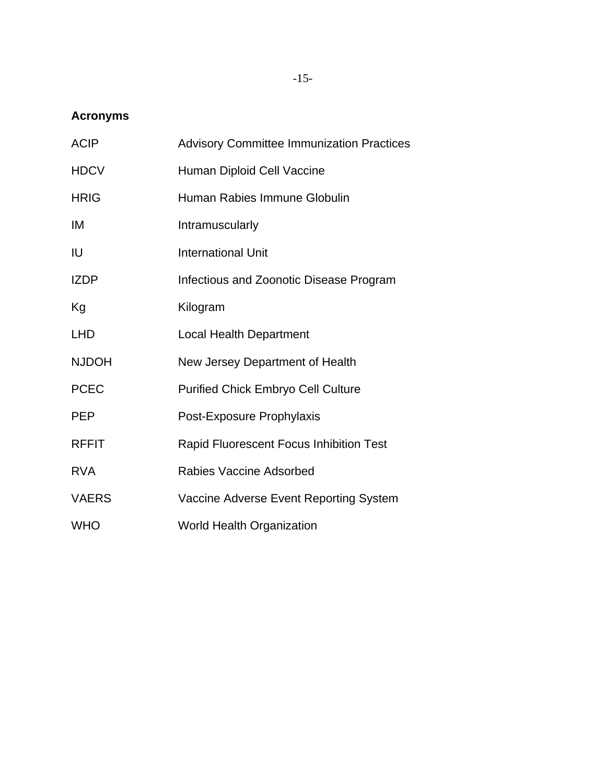# **Acronyms**

| <b>ACIP</b>  | <b>Advisory Committee Immunization Practices</b> |
|--------------|--------------------------------------------------|
| <b>HDCV</b>  | Human Diploid Cell Vaccine                       |
| <b>HRIG</b>  | Human Rabies Immune Globulin                     |
| IM           | Intramuscularly                                  |
| IU           | <b>International Unit</b>                        |
| <b>IZDP</b>  | Infectious and Zoonotic Disease Program          |
| Kg           | Kilogram                                         |
| <b>LHD</b>   | <b>Local Health Department</b>                   |
| <b>NJDOH</b> | New Jersey Department of Health                  |
| <b>PCEC</b>  | <b>Purified Chick Embryo Cell Culture</b>        |
| <b>PEP</b>   | Post-Exposure Prophylaxis                        |
| <b>RFFIT</b> | <b>Rapid Fluorescent Focus Inhibition Test</b>   |
| <b>RVA</b>   | <b>Rabies Vaccine Adsorbed</b>                   |
| <b>VAERS</b> | Vaccine Adverse Event Reporting System           |
| <b>WHO</b>   | <b>World Health Organization</b>                 |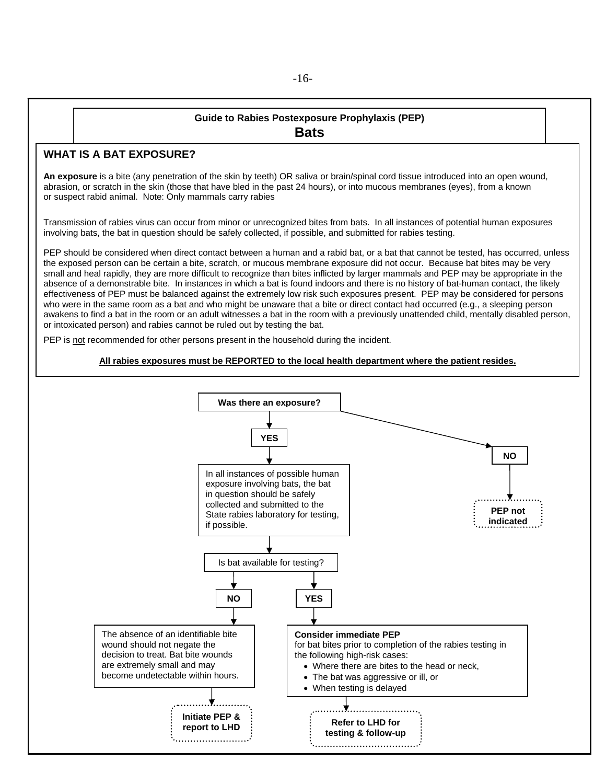#### **Guide to Rabies Postexposure Prophylaxis (PEP) Bats**

#### **WHAT IS A BAT EXPOSURE?**

**An exposure** is a bite (any penetration of the skin by teeth) OR saliva or brain/spinal cord tissue introduced into an open wound, abrasion, or scratch in the skin (those that have bled in the past 24 hours), or into mucous membranes (eyes), from a known or suspect rabid animal. Note: Only mammals carry rabies

Transmission of rabies virus can occur from minor or unrecognized bites from bats. In all instances of potential human exposures involving bats, the bat in question should be safely collected, if possible, and submitted for rabies testing.

PEP should be considered when direct contact between a human and a rabid bat, or a bat that cannot be tested, has occurred, unless the exposed person can be certain a bite, scratch, or mucous membrane exposure did not occur. Because bat bites may be very small and heal rapidly, they are more difficult to recognize than bites inflicted by larger mammals and PEP may be appropriate in the absence of a demonstrable bite. In instances in which a bat is found indoors and there is no history of bat-human contact, the likely effectiveness of PEP must be balanced against the extremely low risk such exposures present. PEP may be considered for persons who were in the same room as a bat and who might be unaware that a bite or direct contact had occurred (e.g., a sleeping person awakens to find a bat in the room or an adult witnesses a bat in the room with a previously unattended child, mentally disabled person, or intoxicated person) and rabies cannot be ruled out by testing the bat.

PEP is not recommended for other persons present in the household during the incident.

#### **All rabies exposures must be REPORTED to the local health department where the patient resides.**

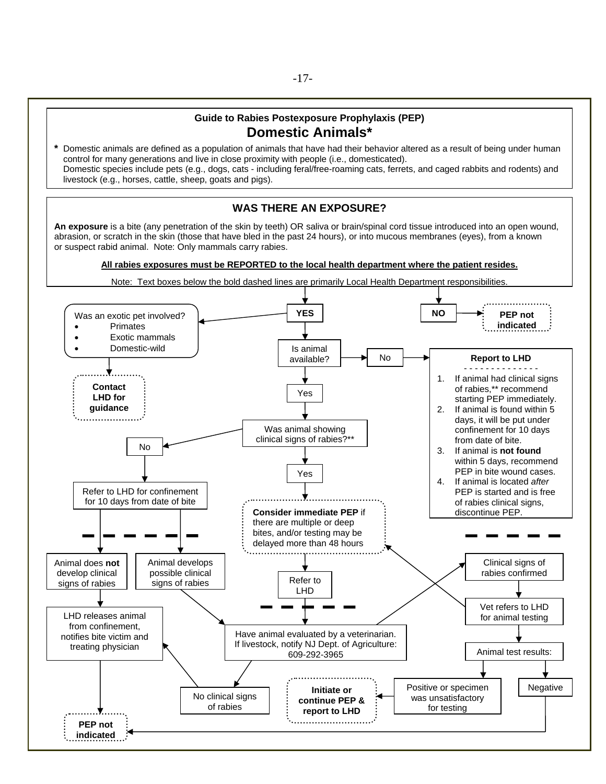